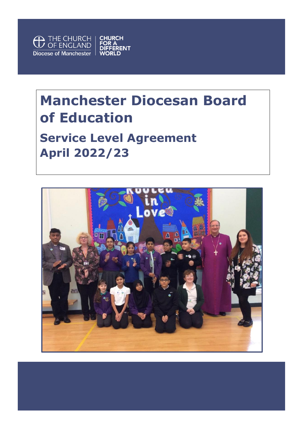

# **Manchester Diocesan Board of Education**

# **Service Level Agreement April 2022/23**

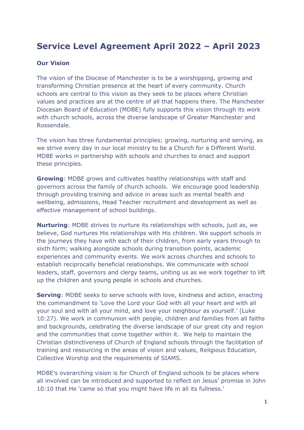# **Service Level Agreement April 2022 – April 2023**

#### **Our Vision**

The vision of the Diocese of Manchester is to be a worshipping, growing and transforming Christian presence at the heart of every community. Church schools are central to this vision as they seek to be places where Christian values and practices are at the centre of all that happens there. The Manchester Diocesan Board of Education (MDBE) fully supports this vision through its work with church schools, across the diverse landscape of Greater Manchester and Rossendale.

The vision has three fundamental principles; growing, nurturing and serving, as we strive every day in our local ministry to be a Church for a Different World. MDBE works in partnership with schools and churches to enact and support these principles.

**Growing**: MDBE grows and cultivates healthy relationships with staff and governors across the family of church schools. We encourage good leadership through providing training and advice in areas such as mental health and wellbeing, admissions, Head Teacher recruitment and development as well as effective management of school buildings.

**Nurturing**: MDBE strives to nurture its relationships with schools, just as, we believe, God nurtures His relationships with His children. We support schools in the journeys they have with each of their children, from early years through to sixth form; walking alongside schools during transition points, academic experiences and community events. We work across churches and schools to establish reciprocally beneficial relationships. We communicate with school leaders, staff, governors and clergy teams, uniting us as we work together to lift up the children and young people in schools and churches.

**Serving**: MDBE seeks to serve schools with love, kindness and action, enacting the commandment to 'Love the Lord your God with all your heart and with all your soul and with all your mind, and love your neighbour as yourself.' (Luke 10:27). We work in communion with people, children and families from all faiths and backgrounds, celebrating the diverse landscape of our great city and region and the communities that come together within it. We help to maintain the Christian distinctiveness of Church of England schools through the facilitation of training and resourcing in the areas of vision and values, Religious Education, Collective Worship and the requirements of SIAMS.

MDBE's overarching vision is for Church of England schools to be places where all involved can be introduced and supported to reflect on Jesus' promise in John 10:10 that He 'came so that you might have life in all its fullness.'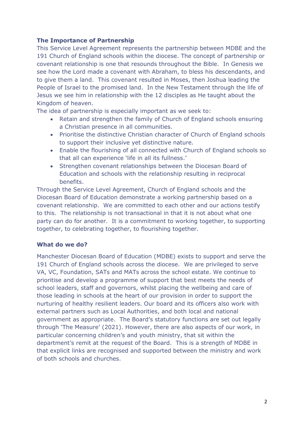# **The Importance of Partnership**

This Service Level Agreement represents the partnership between MDBE and the 191 Church of England schools within the diocese. The concept of partnership or covenant relationship is one that resounds throughout the Bible. In Genesis we see how the Lord made a covenant with Abraham, to bless his descendants, and to give them a land. This covenant resulted in Moses, then Joshua leading the People of Israel to the promised land. In the New Testament through the life of Jesus we see him in relationship with the 12 disciples as He taught about the Kingdom of heaven.

The idea of partnership is especially important as we seek to:

- Retain and strengthen the family of Church of England schools ensuring a Christian presence in all communities.
- Prioritise the distinctive Christian character of Church of England schools to support their inclusive yet distinctive nature.
- Enable the flourishing of all connected with Church of England schools so that all can experience 'life in all its fullness.'
- Strengthen covenant relationships between the Diocesan Board of Education and schools with the relationship resulting in reciprocal benefits.

Through the Service Level Agreement, Church of England schools and the Diocesan Board of Education demonstrate a working partnership based on a covenant relationship. We are committed to each other and our actions testify to this. The relationship is not transactional in that it is not about what one party can do for another. It is a commitment to working together, to supporting together, to celebrating together, to flourishing together.

# **What do we do?**

Manchester Diocesan Board of Education (MDBE) exists to support and serve the 191 Church of England schools across the diocese. We are privileged to serve VA, VC, Foundation, SATs and MATs across the school estate. We continue to prioritise and develop a programme of support that best meets the needs of school leaders, staff and governors, whilst placing the wellbeing and care of those leading in schools at the heart of our provision in order to support the nurturing of healthy resilient leaders. Our board and its officers also work with external partners such as Local Authorities, and both local and national government as appropriate. The Board's statutory functions are set out legally through 'The Measure' (2021). However, there are also aspects of our work, in particular concerning children's and youth ministry, that sit within the department's remit at the request of the Board. This is a strength of MDBE in that explicit links are recognised and supported between the ministry and work of both schools and churches.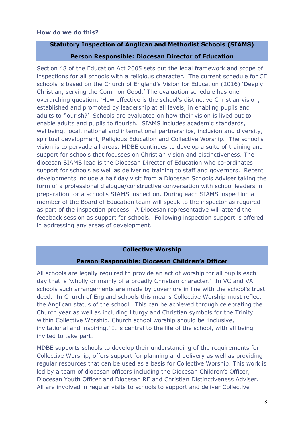#### **How do we do this?**

#### **Statutory Inspection of Anglican and Methodist Schools (SIAMS)**

#### **Person Responsible: Diocesan Director of Education**

Section 48 of the Education Act 2005 sets out the legal framework and scope of inspections for all schools with a religious character. The current schedule for CE schools is based on the Church of England's Vision for Education (2016) 'Deeply Christian, serving the Common Good.' The evaluation schedule has one overarching question: 'How effective is the school's distinctive Christian vision, established and promoted by leadership at all levels, in enabling pupils and adults to flourish?' Schools are evaluated on how their vision is lived out to enable adults and pupils to flourish. SIAMS includes academic standards, wellbeing, local, national and international partnerships, inclusion and diversity, spiritual development, Religious Education and Collective Worship. The school's vision is to pervade all areas. MDBE continues to develop a suite of training and support for schools that focusses on Christian vision and distinctiveness. The diocesan SIAMS lead is the Diocesan Director of Education who co-ordinates support for schools as well as delivering training to staff and governors. Recent developments include a half day visit from a Diocesan Schools Adviser taking the form of a professional dialogue/constructive conversation with school leaders in preparation for a school's SIAMS inspection. During each SIAMS inspection a member of the Board of Education team will speak to the inspector as required as part of the inspection process. A Diocesan representative will attend the feedback session as support for schools. Following inspection support is offered in addressing any areas of development.

#### **Collective Worship**

#### **Person Responsible: Diocesan Children's Officer**

All schools are legally required to provide an act of worship for all pupils each day that is 'wholly or mainly of a broadly Christian character.' In VC and VA schools such arrangements are made by governors in line with the school's trust deed. In Church of England schools this means Collective Worship must reflect the Anglican status of the school. This can be achieved through celebrating the Church year as well as including liturgy and Christian symbols for the Trinity within Collective Worship. Church school worship should be 'inclusive, invitational and inspiring.' It is central to the life of the school, with all being invited to take part.

MDBE supports schools to develop their understanding of the requirements for Collective Worship, offers support for planning and delivery as well as providing regular resources that can be used as a basis for Collective Worship. This work is led by a team of diocesan officers including the Diocesan Children's Officer, Diocesan Youth Officer and Diocesan RE and Christian Distinctiveness Adviser. All are involved in regular visits to schools to support and deliver Collective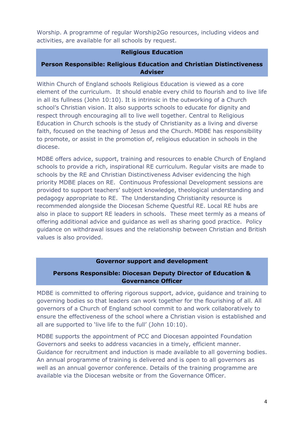Worship. A programme of regular Worship2Go resources, including videos and activities, are available for all schools by request.

#### **Religious Education**

# **Person Responsible: Religious Education and Christian Distinctiveness Adviser**

Within Church of England schools Religious Education is viewed as a core element of the curriculum. It should enable every child to flourish and to live life in all its fullness (John 10:10). It is intrinsic in the outworking of a Church school's Christian vision. It also supports schools to educate for dignity and respect through encouraging all to live well together. Central to Religious Education in Church schools is the study of Christianity as a living and diverse faith, focused on the teaching of Jesus and the Church. MDBE has responsibility to promote, or assist in the promotion of, religious education in schools in the diocese.

MDBE offers advice, support, training and resources to enable Church of England schools to provide a rich, inspirational RE curriculum. Regular visits are made to schools by the RE and Christian Distinctiveness Adviser evidencing the high priority MDBE places on RE. Continuous Professional Development sessions are provided to support teachers' subject knowledge, theological understanding and pedagogy appropriate to RE. The Understanding Christianity resource is recommended alongside the Diocesan Scheme Questful RE. Local RE hubs are also in place to support RE leaders in schools. These meet termly as a means of offering additional advice and guidance as well as sharing good practice. Policy guidance on withdrawal issues and the relationship between Christian and British values is also provided.

# **Governor support and development**

# **Persons Responsible: Diocesan Deputy Director of Education & Governance Officer**

MDBE is committed to offering rigorous support, advice, guidance and training to governing bodies so that leaders can work together for the flourishing of all. All governors of a Church of England school commit to and work collaboratively to ensure the effectiveness of the school where a Christian vision is established and all are supported to 'live life to the full' (John 10:10).

MDBE supports the appointment of PCC and Diocesan appointed Foundation Governors and seeks to address vacancies in a timely, efficient manner. Guidance for recruitment and induction is made available to all governing bodies. An annual programme of training is delivered and is open to all governors as well as an annual governor conference. Details of the training programme are available via the Diocesan website or from the Governance Officer.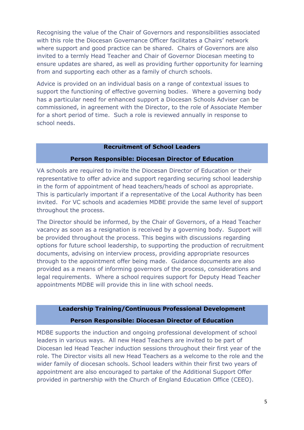Recognising the value of the Chair of Governors and responsibilities associated with this role the Diocesan Governance Officer facilitates a Chairs' network where support and good practice can be shared. Chairs of Governors are also invited to a termly Head Teacher and Chair of Governor Diocesan meeting to ensure updates are shared, as well as providing further opportunity for learning from and supporting each other as a family of church schools.

Advice is provided on an individual basis on a range of contextual issues to support the functioning of effective governing bodies. Where a governing body has a particular need for enhanced support a Diocesan Schools Adviser can be commissioned, in agreement with the Director, to the role of Associate Member for a short period of time. Such a role is reviewed annually in response to school needs.

#### **Recruitment of School Leaders**

#### **Person Responsible: Diocesan Director of Education**

VA schools are required to invite the Diocesan Director of Education or their representative to offer advice and support regarding securing school leadership in the form of appointment of head teachers/heads of school as appropriate. This is particularly important if a representative of the Local Authority has been invited. For VC schools and academies MDBE provide the same level of support throughout the process.

The Director should be informed, by the Chair of Governors, of a Head Teacher vacancy as soon as a resignation is received by a governing body. Support will be provided throughout the process. This begins with discussions regarding options for future school leadership, to supporting the production of recruitment documents, advising on interview process, providing appropriate resources through to the appointment offer being made. Guidance documents are also provided as a means of informing governors of the process, considerations and legal requirements. Where a school requires support for Deputy Head Teacher appointments MDBE will provide this in line with school needs.

#### **Leadership Training/Continuous Professional Development**

#### **Person Responsible: Diocesan Director of Education**

MDBE supports the induction and ongoing professional development of school leaders in various ways. All new Head Teachers are invited to be part of Diocesan led Head Teacher induction sessions throughout their first year of the role. The Director visits all new Head Teachers as a welcome to the role and the wider family of diocesan schools. School leaders within their first two years of appointment are also encouraged to partake of the Additional Support Offer provided in partnership with the Church of England Education Office (CEEO).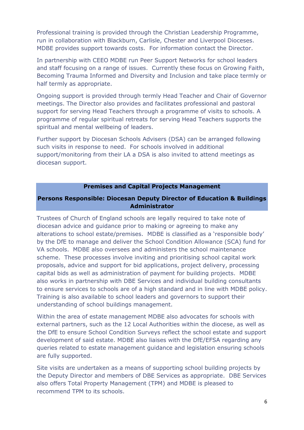Professional training is provided through the Christian Leadership Programme, run in collaboration with Blackburn, Carlisle, Chester and Liverpool Dioceses. MDBE provides support towards costs. For information contact the Director.

In partnership with CEEO MDBE run Peer Support Networks for school leaders and staff focusing on a range of issues. Currently these focus on Growing Faith, Becoming Trauma Informed and Diversity and Inclusion and take place termly or half termly as appropriate.

Ongoing support is provided through termly Head Teacher and Chair of Governor meetings. The Director also provides and facilitates professional and pastoral support for serving Head Teachers through a programme of visits to schools. A programme of regular spiritual retreats for serving Head Teachers supports the spiritual and mental wellbeing of leaders.

Further support by Diocesan Schools Advisers (DSA) can be arranged following such visits in response to need. For schools involved in additional support/monitoring from their LA a DSA is also invited to attend meetings as diocesan support.

#### **Premises and Capital Projects Management**

# **Persons Responsible: Diocesan Deputy Director of Education & Buildings Administrator**

Trustees of Church of England schools are legally required to take note of diocesan advice and guidance prior to making or agreeing to make any alterations to school estate/premises. MDBE is classified as a 'responsible body' by the DfE to manage and deliver the School Condition Allowance (SCA) fund for VA schools. MDBE also oversees and administers the school maintenance scheme. These processes involve inviting and prioritising school capital work proposals, advice and support for bid applications, project delivery, processing capital bids as well as administration of payment for building projects. MDBE also works in partnership with DBE Services and individual building consultants to ensure services to schools are of a high standard and in line with MDBE policy. Training is also available to school leaders and governors to support their understanding of school buildings management.

Within the area of estate management MDBE also advocates for schools with external partners, such as the 12 Local Authorities within the diocese, as well as the DfE to ensure School Condition Surveys reflect the school estate and support development of said estate. MDBE also liaises with the DfE/EFSA regarding any queries related to estate management guidance and legislation ensuring schools are fully supported.

Site visits are undertaken as a means of supporting school building projects by the Deputy Director and members of DBE Services as appropriate. DBE Services also offers Total Property Management (TPM) and MDBE is pleased to recommend TPM to its schools.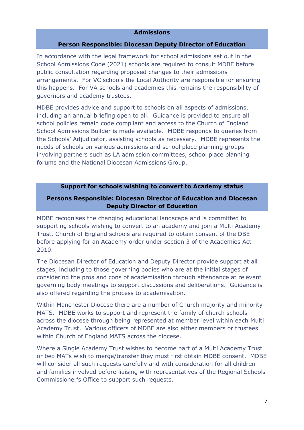#### **Admissions**

#### **Person Responsible: Diocesan Deputy Director of Education**

In accordance with the legal framework for school admissions set out in the School Admissions Code (2021) schools are required to consult MDBE before public consultation regarding proposed changes to their admissions arrangements. For VC schools the Local Authority are responsible for ensuring this happens. For VA schools and academies this remains the responsibility of governors and academy trustees.

MDBE provides advice and support to schools on all aspects of admissions, including an annual briefing open to all. Guidance is provided to ensure all school policies remain code compliant and access to the Church of England School Admissions Builder is made available. MDBE responds to queries from the Schools' Adjudicator, assisting schools as necessary. MDBE represents the needs of schools on various admissions and school place planning groups involving partners such as LA admission committees, school place planning forums and the National Diocesan Admissions Group.

#### **Support for schools wishing to convert to Academy status**

# **Persons Responsible: Diocesan Director of Education and Diocesan Deputy Director of Education**

MDBE recognises the changing educational landscape and is committed to supporting schools wishing to convert to an academy and join a Multi Academy Trust. Church of England schools are required to obtain consent of the DBE before applying for an Academy order under section 3 of the Academies Act 2010.

The Diocesan Director of Education and Deputy Director provide support at all stages, including to those governing bodies who are at the initial stages of considering the pros and cons of academisation through attendance at relevant governing body meetings to support discussions and deliberations. Guidance is also offered regarding the process to academisation.

Within Manchester Diocese there are a number of Church majority and minority MATS. MDBE works to support and represent the family of church schools across the diocese through being represented at member level within each Multi Academy Trust. Various officers of MDBE are also either members or trustees within Church of England MATS across the diocese.

Where a Single Academy Trust wishes to become part of a Multi Academy Trust or two MATs wish to merge/transfer they must first obtain MDBE consent. MDBE will consider all such requests carefully and with consideration for all children and families involved before liaising with representatives of the Regional Schools Commissioner's Office to support such requests.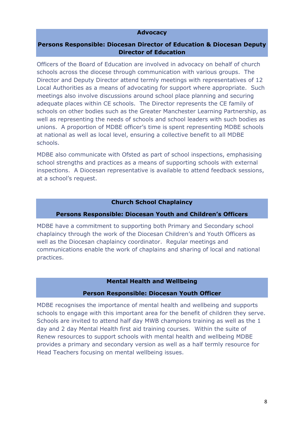#### **Advocacy**

# **Persons Responsible: Diocesan Director of Education & Diocesan Deputy Director of Education**

Officers of the Board of Education are involved in advocacy on behalf of church schools across the diocese through communication with various groups. The Director and Deputy Director attend termly meetings with representatives of 12 Local Authorities as a means of advocating for support where appropriate. Such meetings also involve discussions around school place planning and securing adequate places within CE schools. The Director represents the CE family of schools on other bodies such as the Greater Manchester Learning Partnership, as well as representing the needs of schools and school leaders with such bodies as unions. A proportion of MDBE officer's time is spent representing MDBE schools at national as well as local level, ensuring a collective benefit to all MDBE schools.

MDBE also communicate with Ofsted as part of school inspections, emphasising school strengths and practices as a means of supporting schools with external inspections. A Diocesan representative is available to attend feedback sessions, at a school's request.

#### **Church School Chaplaincy**

### **Persons Responsible: Diocesan Youth and Children's Officers**

MDBE have a commitment to supporting both Primary and Secondary school chaplaincy through the work of the Diocesan Children's and Youth Officers as well as the Diocesan chaplaincy coordinator. Regular meetings and communications enable the work of chaplains and sharing of local and national practices.

#### **Mental Health and Wellbeing**

#### **Person Responsible: Diocesan Youth Officer**

MDBE recognises the importance of mental health and wellbeing and supports schools to engage with this important area for the benefit of children they serve. Schools are invited to attend half day MWB champions training as well as the 1 day and 2 day Mental Health first aid training courses. Within the suite of Renew resources to support schools with mental health and wellbeing MDBE provides a primary and secondary version as well as a half termly resource for Head Teachers focusing on mental wellbeing issues.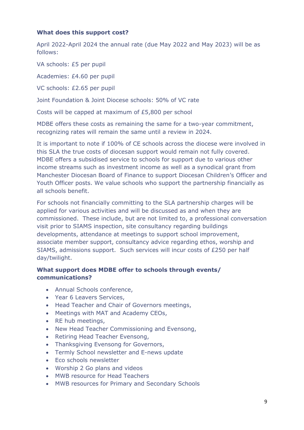# **What does this support cost?**

April 2022-April 2024 the annual rate (due May 2022 and May 2023) will be as follows:

VA schools: £5 per pupil

Academies: £4.60 per pupil

VC schools: £2.65 per pupil

Joint Foundation & Joint Diocese schools: 50% of VC rate

Costs will be capped at maximum of £5,800 per school

MDBE offers these costs as remaining the same for a two-year commitment, recognizing rates will remain the same until a review in 2024.

It is important to note if 100% of CE schools across the diocese were involved in this SLA the true costs of diocesan support would remain not fully covered. MDBE offers a subsidised service to schools for support due to various other income streams such as investment income as well as a synodical grant from Manchester Diocesan Board of Finance to support Diocesan Children's Officer and Youth Officer posts. We value schools who support the partnership financially as all schools benefit.

For schools not financially committing to the SLA partnership charges will be applied for various activities and will be discussed as and when they are commissioned. These include, but are not limited to, a professional conversation visit prior to SIAMS inspection, site consultancy regarding buildings developments, attendance at meetings to support school improvement, associate member support, consultancy advice regarding ethos, worship and SIAMS, admissions support. Such services will incur costs of £250 per half day/twilight.

# **What support does MDBE offer to schools through events/ communications?**

- Annual Schools conference,
- Year 6 Leavers Services,
- Head Teacher and Chair of Governors meetings,
- Meetings with MAT and Academy CEOs,
- RE hub meetings,
- New Head Teacher Commissioning and Evensong,
- Retiring Head Teacher Evensong,
- Thanksgiving Evensong for Governors,
- Termly School newsletter and E-news update
- Eco schools newsletter
- Worship 2 Go plans and videos
- MWB resource for Head Teachers
- MWB resources for Primary and Secondary Schools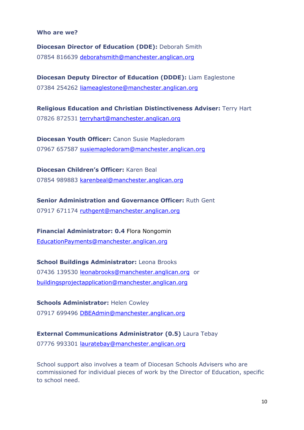#### **Who are we?**

**Diocesan Director of Education (DDE):** Deborah Smith 07854 816639 [deborahsmith@manchester.anglican.org](mailto:deborahsmith@manchester.anglican.org)

**Diocesan Deputy Director of Education (DDDE):** Liam Eaglestone 07384 254262 [liameaglestone@manchester.anglican.org](mailto:liameaglestone@manchester.anglican.org)

**Religious Education and Christian Distinctiveness Adviser:** Terry Hart 07826 872531 [terryhart@manchester.anglican.org](mailto:terryhart@manchester.anglican.org)

**Diocesan Youth Officer:** Canon Susie Mapledoram 07967 657587 [susiemapledoram@manchester.anglican.org](mailto:susiemapledoram@manchester.anglican.org)

**Diocesan Children's Officer:** Karen Beal 07854 989883 [karenbeal@manchester.anglican.org](mailto:karenbeal@manchester.anglican.org)

**Senior Administration and Governance Officer:** Ruth Gent 07917 671174 [ruthgent@manchester.anglican.org](mailto:ruthgent@manchester.anglican.org)

**Financial Administrator: 0.4** Flora Nongomin [EducationPayments@manchester.anglican.org](mailto:EducationPayments@manchester.anglican.org)

**School Buildings Administrator:** Leona Brooks 07436 139530 [leonabrooks@manchester.anglican.org](mailto:leonabrooks@manchester.anglican.org) or [buildingsprojectapplication@manchester.anglican.org](mailto:buildingsprojectapplication@manchester.anglican.org)

**Schools Administrator:** Helen Cowley 07917 699496 [DBEAdmin@manchester.anglican.org](mailto:DBEAdmin@manchester.anglican.org)

**External Communications Administrator (0.5)** Laura Tebay 07776 993301 [lauratebay@manchester.anglican.org](mailto:lauratebay@manchester.anglican.org)

School support also involves a team of Diocesan Schools Advisers who are commissioned for individual pieces of work by the Director of Education, specific to school need.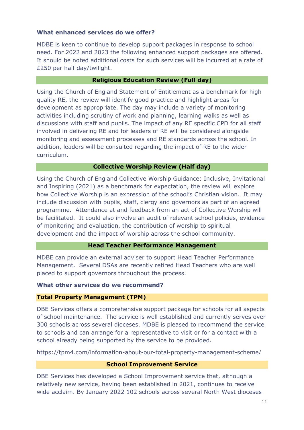# **What enhanced services do we offer?**

MDBE is keen to continue to develop support packages in response to school need. For 2022 and 2023 the following enhanced support packages are offered. It should be noted additional costs for such services will be incurred at a rate of £250 per half day/twilight.

#### **Religious Education Review (Full day)**

Using the Church of England Statement of Entitlement as a benchmark for high quality RE, the review will identify good practice and highlight areas for development as appropriate. The day may include a variety of monitoring activities including scrutiny of work and planning, learning walks as well as discussions with staff and pupils. The impact of any RE specific CPD for all staff involved in delivering RE and for leaders of RE will be considered alongside monitoring and assessment processes and RE standards across the school. In addition, leaders will be consulted regarding the impact of RE to the wider curriculum.

#### **Collective Worship Review (Half day)**

Using the Church of England Collective Worship Guidance: Inclusive, Invitational and Inspiring (2021) as a benchmark for expectation, the review will explore how Collective Worship is an expression of the school's Christian vision. It may include discussion with pupils, staff, clergy and governors as part of an agreed programme. Attendance at and feedback from an act of Collective Worship will be facilitated. It could also involve an audit of relevant school policies, evidence of monitoring and evaluation, the contribution of worship to spiritual development and the impact of worship across the school community.

# **Head Teacher Performance Management**

MDBE can provide an external adviser to support Head Teacher Performance Management. Several DSAs are recently retired Head Teachers who are well placed to support governors throughout the process.

#### **What other services do we recommend?**

#### **Total Property Management (TPM)**

DBE Services offers a comprehensive support package for schools for all aspects of school maintenance. The service is well established and currently serves over 300 schools across several dioceses. MDBE is pleased to recommend the service to schools and can arrange for a representative to visit or for a contact with a school already being supported by the service to be provided.

<https://tpm4.com/information-about-our-total-property-management-scheme/>

#### **School Improvement Service**

DBE Services has developed a School Improvement service that, although a relatively new service, having been established in 2021, continues to receive wide acclaim. By January 2022 102 schools across several North West dioceses